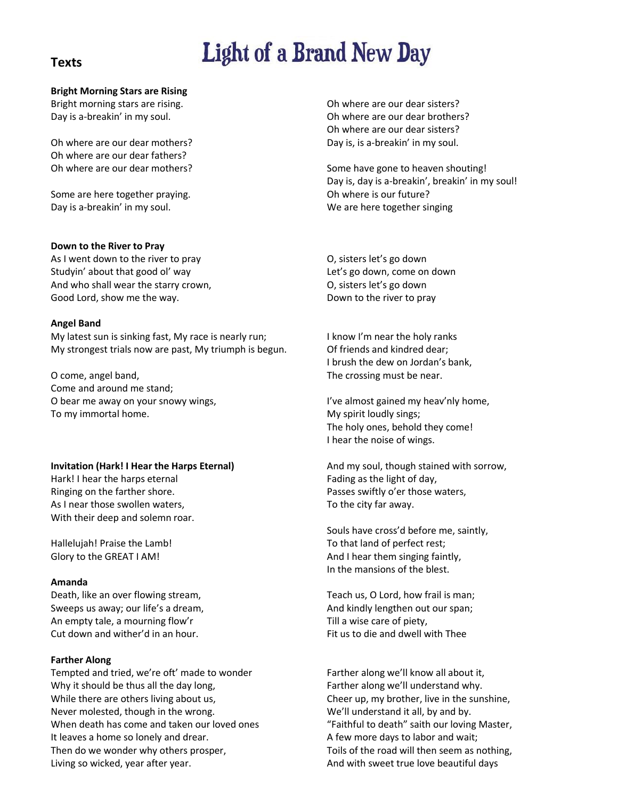## **Texts**

# **Light of a Brand New Day**

#### **Bright Morning Stars are Rising**

Bright morning stars are rising. Day is a-breakin' in my soul.

Oh where are our dear mothers? Oh where are our dear fathers? Oh where are our dear mothers?

Some are here together praying. Day is a-breakin' in my soul.

## **Down to the River to Pray**

As I went down to the river to pray Studyin' about that good ol' way And who shall wear the starry crown, Good Lord, show me the way.

## **Angel Band**

My latest sun is sinking fast, My race is nearly run; My strongest trials now are past, My triumph is begun.

O come, angel band, Come and around me stand; O bear me away on your snowy wings, To my immortal home.

## **Invitation (Hark! I Hear the Harps Eternal)**

Hark! I hear the harps eternal Ringing on the farther shore. As I near those swollen waters, With their deep and solemn roar.

Hallelujah! Praise the Lamb! Glory to the GREAT I AM!

## **Amanda**

Death, like an over flowing stream, Sweeps us away; our life's a dream, An empty tale, a mourning flow'r Cut down and wither'd in an hour.

## **Farther Along**

Tempted and tried, we're oft' made to wonder Why it should be thus all the day long, While there are others living about us, Never molested, though in the wrong. When death has come and taken our loved ones It leaves a home so lonely and drear. Then do we wonder why others prosper, Living so wicked, year after year.

Oh where are our dear sisters? Oh where are our dear brothers? Oh where are our dear sisters? Day is, is a-breakin' in my soul.

Some have gone to heaven shouting! Day is, day is a-breakin', breakin' in my soul! Oh where is our future? We are here together singing

O, sisters let's go down Let's go down, come on down O, sisters let's go down Down to the river to pray

I know I'm near the holy ranks Of friends and kindred dear; I brush the dew on Jordan's bank, The crossing must be near.

I've almost gained my heav'nly home, My spirit loudly sings; The holy ones, behold they come! I hear the noise of wings.

And my soul, though stained with sorrow, Fading as the light of day, Passes swiftly o'er those waters, To the city far away.

Souls have cross'd before me, saintly, To that land of perfect rest; And I hear them singing faintly, In the mansions of the blest.

Teach us, O Lord, how frail is man; And kindly lengthen out our span; Till a wise care of piety, Fit us to die and dwell with Thee

Farther along we'll know all about it, Farther along we'll understand why. Cheer up, my brother, live in the sunshine, We'll understand it all, by and by. "Faithful to death" saith our loving Master, A few more days to labor and wait; Toils of the road will then seem as nothing, And with sweet true love beautiful days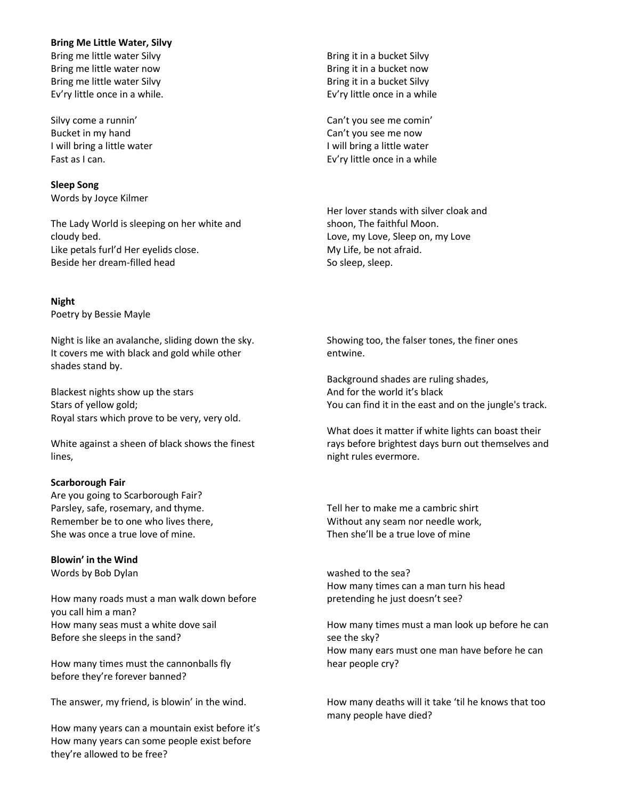#### **Bring Me Little Water, Silvy**

Bring me little water Silvy Bring me little water now Bring me little water Silvy Ev'ry little once in a while.

Silvy come a runnin' Bucket in my hand I will bring a little water Fast as I can.

**Sleep Song** Words by Joyce Kilmer

The Lady World is sleeping on her white and cloudy bed. Like petals furl'd Her eyelids close. Beside her dream-filled head

#### **Night**

Poetry by Bessie Mayle

Night is like an avalanche, sliding down the sky. It covers me with black and gold while other shades stand by.

Blackest nights show up the stars Stars of yellow gold; Royal stars which prove to be very, very old.

White against a sheen of black shows the finest lines,

#### **Scarborough Fair**

Are you going to Scarborough Fair? Parsley, safe, rosemary, and thyme. Remember be to one who lives there, She was once a true love of mine.

**Blowin' in the Wind** Words by Bob Dylan

How many roads must a man walk down before you call him a man? How many seas must a white dove sail Before she sleeps in the sand?

How many times must the cannonballs fly before they're forever banned?

The answer, my friend, is blowin' in the wind.

How many years can a mountain exist before it's How many years can some people exist before they're allowed to be free?

Bring it in a bucket Silvy Bring it in a bucket now Bring it in a bucket Silvy Ev'ry little once in a while

Can't you see me comin' Can't you see me now I will bring a little water Ev'ry little once in a while

Her lover stands with silver cloak and shoon, The faithful Moon. Love, my Love, Sleep on, my Love My Life, be not afraid. So sleep, sleep.

Showing too, the falser tones, the finer ones entwine.

Background shades are ruling shades, And for the world it's black You can find it in the east and on the jungle's track.

What does it matter if white lights can boast their rays before brightest days burn out themselves and night rules evermore.

Tell her to make me a cambric shirt Without any seam nor needle work, Then she'll be a true love of mine

washed to the sea? How many times can a man turn his head pretending he just doesn't see?

How many times must a man look up before he can see the sky? How many ears must one man have before he can hear people cry?

How many deaths will it take 'til he knows that too many people have died?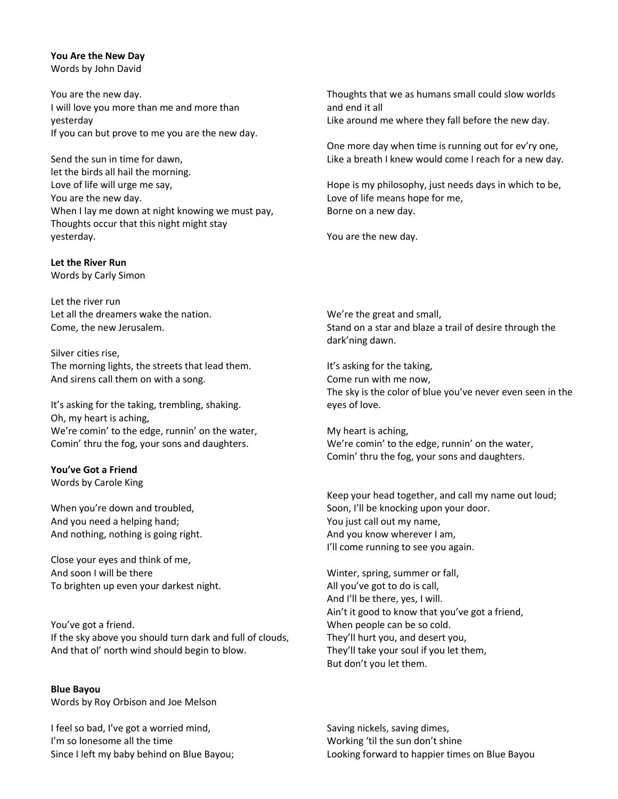#### **You Are the New Day** Words by John David

You are the new day. I will love you more than me and more than yesterday If you can but prove to me you are the new day.

Send the sun in time for dawn, let the birds all hail the morning. Love of life will urge me say, You are the new day. When I lay me down at night knowing we must pay, Thoughts occur that this night might stay yesterday.

**Let the River Run** Words by Carly Simon

Let the river run Let all the dreamers wake the nation. Come, the new Jerusalem.

Silver cities rise, The morning lights, the streets that lead them. And sirens call them on with a song.

It's asking for the taking, trembling, shaking. Oh, my heart is aching, We're comin' to the edge, runnin' on the water, Comin' thru the fog, your sons and daughters.

**You've Got a Friend** Words by Carole King

When you're down and troubled, And you need a helping hand; And nothing, nothing is going right.

Close your eyes and think of me, And soon I will be there To brighten up even your darkest night.

You've got a friend. If the sky above you should turn dark and full of clouds, And that ol' north wind should begin to blow.

**Blue Bayou** Words by Roy Orbison and Joe Melson

I feel so bad, I've got a worried mind, I'm so lonesome all the time Since I left my baby behind on Blue Bayou; Thoughts that we as humans small could slow worlds and end it all Like around me where they fall before the new day.

One more day when time is running out for ev'ry one, Like a breath I knew would come I reach for a new day.

Hope is my philosophy, just needs days in which to be, Love of life means hope for me, Borne on a new day.

You are the new day.

We're the great and small, Stand on a star and blaze a trail of desire through the dark'ning dawn.

It's asking for the taking, Come run with me now, The sky is the color of blue you've never even seen in the eyes of love.

My heart is aching, We're comin' to the edge, runnin' on the water, Comin' thru the fog, your sons and daughters.

Keep your head together, and call my name out loud; Soon, I'll be knocking upon your door. You just call out my name, And you know wherever I am, I'll come running to see you again.

Winter, spring, summer or fall, All you've got to do is call, And I'll be there, yes, I will. Ain't it good to know that you've got a friend, When people can be so cold. They'll hurt you, and desert you, They'll take your soul if you let them, But don't you let them.

Saving nickels, saving dimes, Working 'til the sun don't shine Looking forward to happier times on Blue Bayou